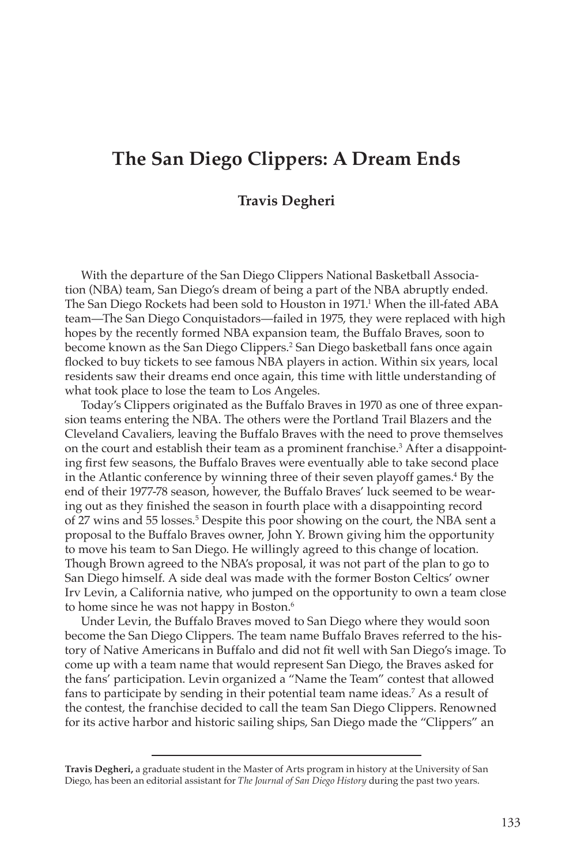# **The San Diego Clippers: A Dream Ends**

#### **Travis Degheri**

With the departure of the San Diego Clippers National Basketball Association (NBA) team, San Diego's dream of being a part of the NBA abruptly ended. The San Diego Rockets had been sold to Houston in 1971.<sup>1</sup> When the ill-fated ABA team—The San Diego Conquistadors—failed in 1975, they were replaced with high hopes by the recently formed NBA expansion team, the Buffalo Braves, soon to become known as the San Diego Clippers.2 San Diego basketball fans once again flocked to buy tickets to see famous NBA players in action. Within six years, local residents saw their dreams end once again, this time with little understanding of what took place to lose the team to Los Angeles.

Today's Clippers originated as the Buffalo Braves in 1970 as one of three expansion teams entering the NBA. The others were the Portland Trail Blazers and the Cleveland Cavaliers, leaving the Buffalo Braves with the need to prove themselves on the court and establish their team as a prominent franchise.<sup>3</sup> After a disappointing first few seasons, the Buffalo Braves were eventually able to take second place in the Atlantic conference by winning three of their seven playoff games.<sup>4</sup> By the end of their 1977-78 season, however, the Buffalo Braves' luck seemed to be wearing out as they finished the season in fourth place with a disappointing record of 27 wins and 55 losses.<sup>5</sup> Despite this poor showing on the court, the NBA sent a proposal to the Buffalo Braves owner, John Y. Brown giving him the opportunity to move his team to San Diego. He willingly agreed to this change of location. Though Brown agreed to the NBA's proposal, it was not part of the plan to go to San Diego himself. A side deal was made with the former Boston Celtics' owner Irv Levin, a California native, who jumped on the opportunity to own a team close to home since he was not happy in Boston.<sup>6</sup>

Under Levin, the Buffalo Braves moved to San Diego where they would soon become the San Diego Clippers. The team name Buffalo Braves referred to the history of Native Americans in Buffalo and did not fit well with San Diego's image. To come up with a team name that would represent San Diego, the Braves asked for the fans' participation. Levin organized a "Name the Team" contest that allowed fans to participate by sending in their potential team name ideas.7 As a result of the contest, the franchise decided to call the team San Diego Clippers. Renowned for its active harbor and historic sailing ships, San Diego made the "Clippers" an

**Travis Degheri,** a graduate student in the Master of Arts program in history at the University of San Diego, has been an editorial assistant for *The Journal of San Diego History* during the past two years.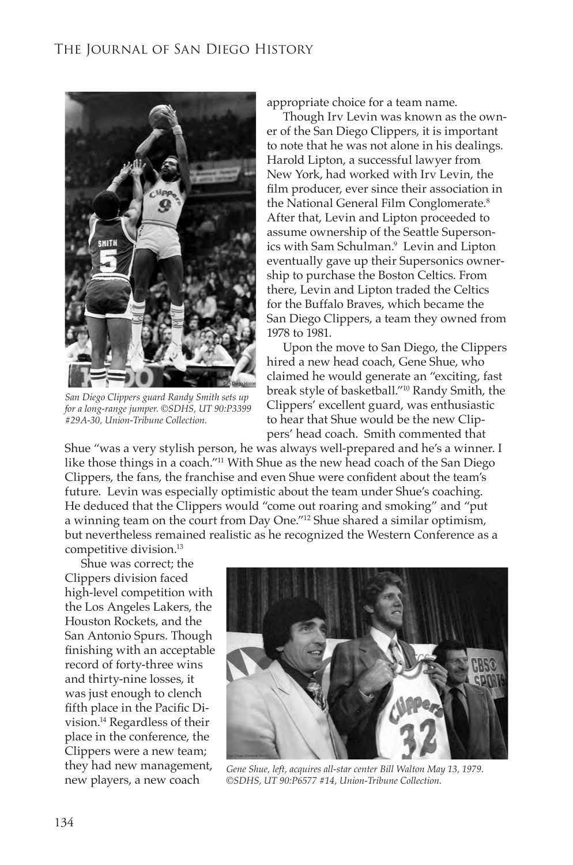

*San Diego Clippers guard Randy Smith sets up for a long-range jumper. ©SDHS, UT 90:P3399 #29A-30, Union-Tribune Collection.*

appropriate choice for a team name.

Though Irv Levin was known as the owner of the San Diego Clippers, it is important to note that he was not alone in his dealings. Harold Lipton, a successful lawyer from New York, had worked with Irv Levin, the film producer, ever since their association in the National General Film Conglomerate.<sup>8</sup> After that, Levin and Lipton proceeded to assume ownership of the Seattle Supersonics with Sam Schulman.9 Levin and Lipton eventually gave up their Supersonics ownership to purchase the Boston Celtics. From there, Levin and Lipton traded the Celtics for the Buffalo Braves, which became the San Diego Clippers, a team they owned from 1978 to 1981.

Upon the move to San Diego, the Clippers hired a new head coach, Gene Shue, who claimed he would generate an "exciting, fast break style of basketball."10 Randy Smith, the Clippers' excellent guard, was enthusiastic to hear that Shue would be the new Clippers' head coach. Smith commented that

Shue "was a very stylish person, he was always well-prepared and he's a winner. I like those things in a coach."11 With Shue as the new head coach of the San Diego Clippers, the fans, the franchise and even Shue were confident about the team's future. Levin was especially optimistic about the team under Shue's coaching. He deduced that the Clippers would "come out roaring and smoking" and "put a winning team on the court from Day One."12 Shue shared a similar optimism, but nevertheless remained realistic as he recognized the Western Conference as a competitive division.13

Shue was correct; the Clippers division faced high-level competition with the Los Angeles Lakers, the Houston Rockets, and the San Antonio Spurs. Though finishing with an acceptable record of forty-three wins and thirty-nine losses, it was just enough to clench fifth place in the Pacific Division.14 Regardless of their place in the conference, the Clippers were a new team; they had new management, new players, a new coach



*Gene Shue, left, acquires all-star center Bill Walton May 13, 1979. ©SDHS, UT 90:P6577 #14, Union-Tribune Collection.*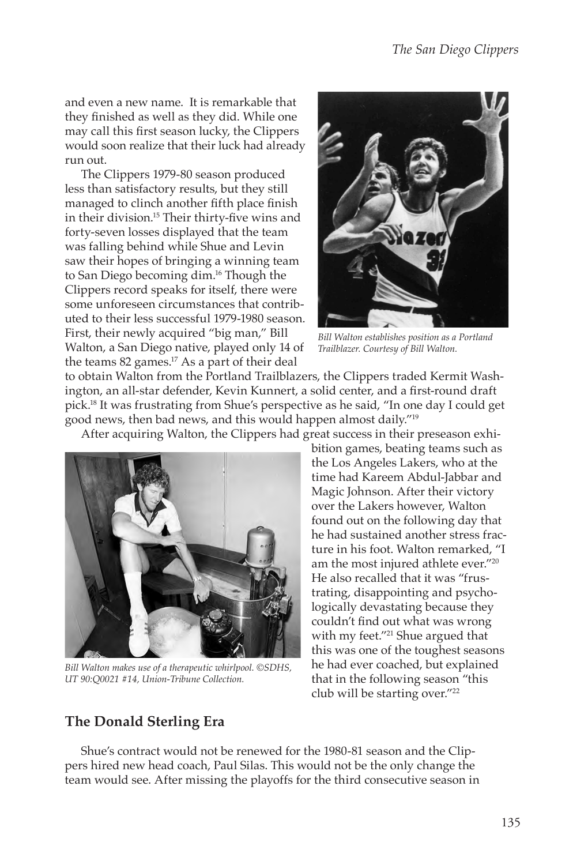and even a new name. It is remarkable that they finished as well as they did. While one may call this first season lucky, the Clippers would soon realize that their luck had already run out.

The Clippers 1979-80 season produced less than satisfactory results, but they still managed to clinch another fifth place finish in their division.15 Their thirty-five wins and forty-seven losses displayed that the team was falling behind while Shue and Levin saw their hopes of bringing a winning team to San Diego becoming dim.<sup>16</sup> Though the Clippers record speaks for itself, there were some unforeseen circumstances that contributed to their less successful 1979-1980 season. First, their newly acquired "big man," Bill Walton, a San Diego native, played only 14 of the teams 82 games.17 As a part of their deal



*Bill Walton establishes position as a Portland Trailblazer. Courtesy of Bill Walton.*

to obtain Walton from the Portland Trailblazers, the Clippers traded Kermit Washington, an all-star defender, Kevin Kunnert, a solid center, and a first-round draft pick.18 It was frustrating from Shue's perspective as he said, "In one day I could get good news, then bad news, and this would happen almost daily."19

After acquiring Walton, the Clippers had great success in their preseason exhi-



*Bill Walton makes use of a therapeutic whirlpool. ©SDHS, UT 90:Q0021 #14, Union-Tribune Collection.*

**The Donald Sterling Era**

bition games, beating teams such as the Los Angeles Lakers, who at the time had Kareem Abdul-Jabbar and Magic Johnson. After their victory over the Lakers however, Walton found out on the following day that he had sustained another stress fracture in his foot. Walton remarked, "I am the most injured athlete ever."20 He also recalled that it was "frustrating, disappointing and psychologically devastating because they couldn't find out what was wrong with my feet."<sup>21</sup> Shue argued that this was one of the toughest seasons he had ever coached, but explained that in the following season "this club will be starting over."22

Shue's contract would not be renewed for the 1980-81 season and the Clippers hired new head coach, Paul Silas. This would not be the only change the team would see. After missing the playoffs for the third consecutive season in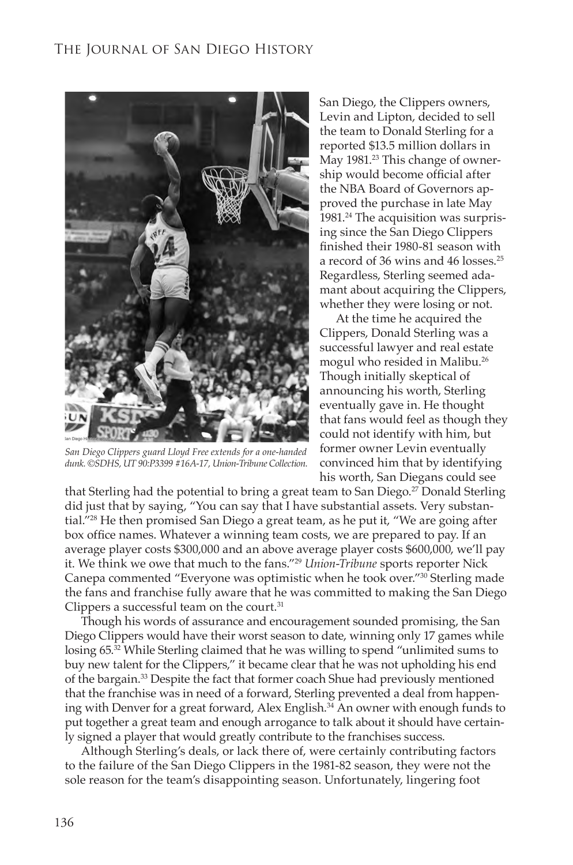

*San Diego Clippers guard Lloyd Free extends for a one-handed dunk. ©SDHS, UT 90:P3399 #16A-17, Union-Tribune Collection.*

San Diego, the Clippers owners, Levin and Lipton, decided to sell the team to Donald Sterling for a reported \$13.5 million dollars in May 1981.<sup>23</sup> This change of ownership would become official after the NBA Board of Governors approved the purchase in late May 1981.<sup>24</sup> The acquisition was surprising since the San Diego Clippers finished their 1980-81 season with a record of 36 wins and 46 losses.25 Regardless, Sterling seemed adamant about acquiring the Clippers, whether they were losing or not.

At the time he acquired the Clippers, Donald Sterling was a successful lawyer and real estate mogul who resided in Malibu.26 Though initially skeptical of announcing his worth, Sterling eventually gave in. He thought that fans would feel as though they could not identify with him, but former owner Levin eventually convinced him that by identifying his worth, San Diegans could see

that Sterling had the potential to bring a great team to San Diego.27 Donald Sterling did just that by saying, "You can say that I have substantial assets. Very substantial."28 He then promised San Diego a great team, as he put it, "We are going after box office names. Whatever a winning team costs, we are prepared to pay. If an average player costs \$300,000 and an above average player costs \$600,000, we'll pay it. We think we owe that much to the fans."29 *Union-Tribune* sports reporter Nick Canepa commented "Everyone was optimistic when he took over."30 Sterling made the fans and franchise fully aware that he was committed to making the San Diego Clippers a successful team on the court. $31$ 

Though his words of assurance and encouragement sounded promising, the San Diego Clippers would have their worst season to date, winning only 17 games while losing 65.<sup>32</sup> While Sterling claimed that he was willing to spend "unlimited sums to buy new talent for the Clippers," it became clear that he was not upholding his end of the bargain.33 Despite the fact that former coach Shue had previously mentioned that the franchise was in need of a forward, Sterling prevented a deal from happening with Denver for a great forward, Alex English.<sup>34</sup> An owner with enough funds to put together a great team and enough arrogance to talk about it should have certainly signed a player that would greatly contribute to the franchises success.

Although Sterling's deals, or lack there of, were certainly contributing factors to the failure of the San Diego Clippers in the 1981-82 season, they were not the sole reason for the team's disappointing season. Unfortunately, lingering foot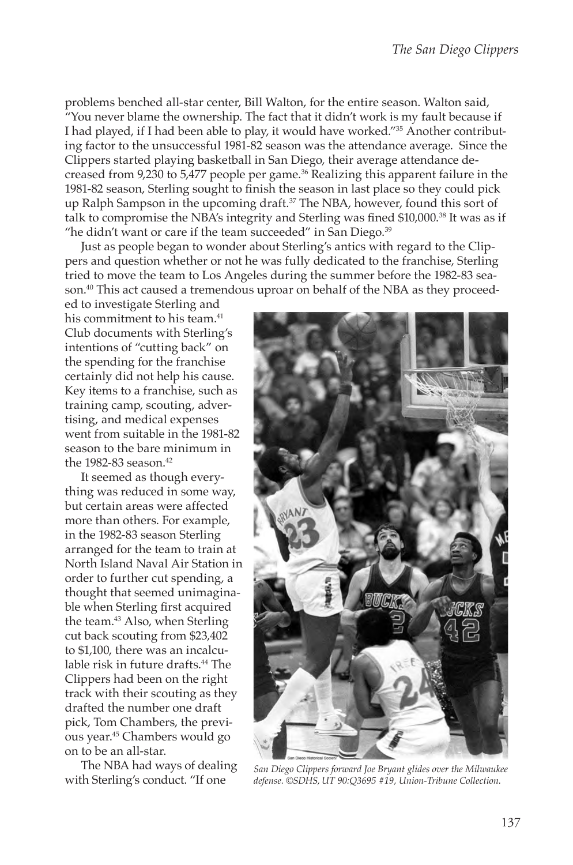problems benched all-star center, Bill Walton, for the entire season. Walton said, "You never blame the ownership. The fact that it didn't work is my fault because if I had played, if I had been able to play, it would have worked."35 Another contributing factor to the unsuccessful 1981-82 season was the attendance average. Since the Clippers started playing basketball in San Diego, their average attendance decreased from 9,230 to 5,477 people per game.<sup>36</sup> Realizing this apparent failure in the 1981-82 season, Sterling sought to finish the season in last place so they could pick up Ralph Sampson in the upcoming draft. $37$  The NBA, however, found this sort of talk to compromise the NBA's integrity and Sterling was fined \$10,000.38 It was as if "he didn't want or care if the team succeeded" in San Diego. $39$ 

Just as people began to wonder about Sterling's antics with regard to the Clippers and question whether or not he was fully dedicated to the franchise, Sterling tried to move the team to Los Angeles during the summer before the 1982-83 season.40 This act caused a tremendous uproar on behalf of the NBA as they proceed-

ed to investigate Sterling and his commitment to his team.<sup>41</sup> Club documents with Sterling's intentions of "cutting back" on the spending for the franchise certainly did not help his cause. Key items to a franchise, such as training camp, scouting, advertising, and medical expenses went from suitable in the 1981-82 season to the bare minimum in the 1982-83 season.<sup>42</sup>

It seemed as though everything was reduced in some way, but certain areas were affected more than others. For example, in the 1982-83 season Sterling arranged for the team to train at North Island Naval Air Station in order to further cut spending, a thought that seemed unimaginable when Sterling first acquired the team.43 Also, when Sterling cut back scouting from \$23,402 to \$1,100, there was an incalculable risk in future drafts.<sup>44</sup> The Clippers had been on the right track with their scouting as they drafted the number one draft pick, Tom Chambers, the previous year.45 Chambers would go on to be an all-star.

The NBA had ways of dealing



with Sterling's conduct. "If one *San Diego Clippers forward Joe Bryant glides over the Milwaukee defense. ©SDHS, UT 90:Q3695 #19, Union-Tribune Collection.*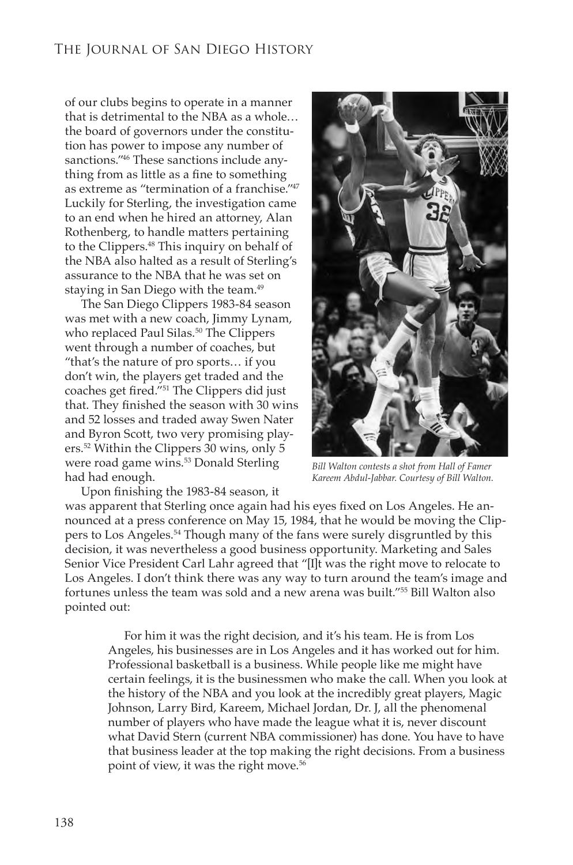of our clubs begins to operate in a manner that is detrimental to the NBA as a whole… the board of governors under the constitution has power to impose any number of sanctions."46 These sanctions include anything from as little as a fine to something as extreme as "termination of a franchise."47 Luckily for Sterling, the investigation came to an end when he hired an attorney, Alan Rothenberg, to handle matters pertaining to the Clippers.48 This inquiry on behalf of the NBA also halted as a result of Sterling's assurance to the NBA that he was set on staying in San Diego with the team.<sup>49</sup>

The San Diego Clippers 1983-84 season was met with a new coach, Jimmy Lynam, who replaced Paul Silas.<sup>50</sup> The Clippers went through a number of coaches, but "that's the nature of pro sports… if you don't win, the players get traded and the coaches get fired."51 The Clippers did just that. They finished the season with 30 wins and 52 losses and traded away Swen Nater and Byron Scott, two very promising players.52 Within the Clippers 30 wins, only 5 were road game wins.<sup>53</sup> Donald Sterling had had enough.



*Bill Walton contests a shot from Hall of Famer Kareem Abdul-Jabbar. Courtesy of Bill Walton.*

Upon finishing the 1983-84 season, it was apparent that Sterling once again had his eyes fixed on Los Angeles. He announced at a press conference on May 15, 1984, that he would be moving the Clippers to Los Angeles.54 Though many of the fans were surely disgruntled by this decision, it was nevertheless a good business opportunity. Marketing and Sales Senior Vice President Carl Lahr agreed that "[I]t was the right move to relocate to Los Angeles. I don't think there was any way to turn around the team's image and fortunes unless the team was sold and a new arena was built."55 Bill Walton also pointed out:

For him it was the right decision, and it's his team. He is from Los Angeles, his businesses are in Los Angeles and it has worked out for him. Professional basketball is a business. While people like me might have certain feelings, it is the businessmen who make the call. When you look at the history of the NBA and you look at the incredibly great players, Magic Johnson, Larry Bird, Kareem, Michael Jordan, Dr. J, all the phenomenal number of players who have made the league what it is, never discount what David Stern (current NBA commissioner) has done. You have to have that business leader at the top making the right decisions. From a business point of view, it was the right move.<sup>56</sup>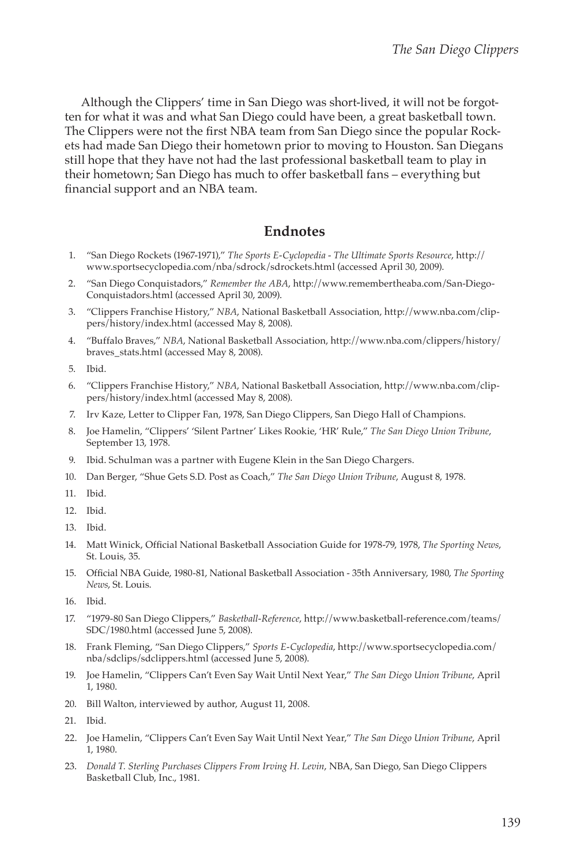Although the Clippers' time in San Diego was short-lived, it will not be forgotten for what it was and what San Diego could have been, a great basketball town. The Clippers were not the first NBA team from San Diego since the popular Rockets had made San Diego their hometown prior to moving to Houston. San Diegans still hope that they have not had the last professional basketball team to play in their hometown; San Diego has much to offer basketball fans – everything but financial support and an NBA team.

## **Endnotes**

- 1. "San Diego Rockets (1967-1971)," *The Sports E-Cyclopedia The Ultimate Sports Resource*, http:// www.sportsecyclopedia.com/nba/sdrock/sdrockets.html (accessed April 30, 2009).
- 2. "San Diego Conquistadors," *Remember the ABA*, http://www.remembertheaba.com/San-Diego-Conquistadors.html (accessed April 30, 2009).
- 3. "Clippers Franchise History," *NBA*, National Basketball Association, http://www.nba.com/clippers/history/index.html (accessed May 8, 2008).
- 4. "Buffalo Braves," *NBA*, National Basketball Association, http://www.nba.com/clippers/history/ braves\_stats.html (accessed May 8, 2008).
- 5. Ibid.
- 6. "Clippers Franchise History," *NBA*, National Basketball Association, http://www.nba.com/clippers/history/index.html (accessed May 8, 2008).
- 7. Irv Kaze, Letter to Clipper Fan, 1978, San Diego Clippers, San Diego Hall of Champions.
- 8. Joe Hamelin, "Clippers' 'Silent Partner' Likes Rookie, 'HR' Rule," *The San Diego Union Tribune*, September 13, 1978.
- 9. Ibid. Schulman was a partner with Eugene Klein in the San Diego Chargers.
- 10. Dan Berger, "Shue Gets S.D. Post as Coach," *The San Diego Union Tribune*, August 8, 1978.
- 11. Ibid.
- 12. Ibid.
- 13. Ibid.
- 14. Matt Winick, Official National Basketball Association Guide for 1978-79, 1978, *The Sporting News*, St. Louis, 35.
- 15. Official NBA Guide, 1980-81, National Basketball Association 35th Anniversary, 1980, *The Sporting News*, St. Louis.
- 16. Ibid.
- 17. "1979-80 San Diego Clippers," *Basketball-Reference*, http://www.basketball-reference.com/teams/ SDC/1980.html (accessed June 5, 2008).
- 18. Frank Fleming, "San Diego Clippers," *Sports E-Cyclopedia*, http://www.sportsecyclopedia.com/ nba/sdclips/sdclippers.html (accessed June 5, 2008).
- 19. Joe Hamelin, "Clippers Can't Even Say Wait Until Next Year," *The San Diego Union Tribune*, April 1, 1980.
- 20. Bill Walton, interviewed by author, August 11, 2008.
- 21. Ibid.
- 22. Joe Hamelin, "Clippers Can't Even Say Wait Until Next Year," *The San Diego Union Tribune*, April 1, 1980.
- 23. *Donald T. Sterling Purchases Clippers From Irving H. Levin*, NBA, San Diego, San Diego Clippers Basketball Club, Inc., 1981.